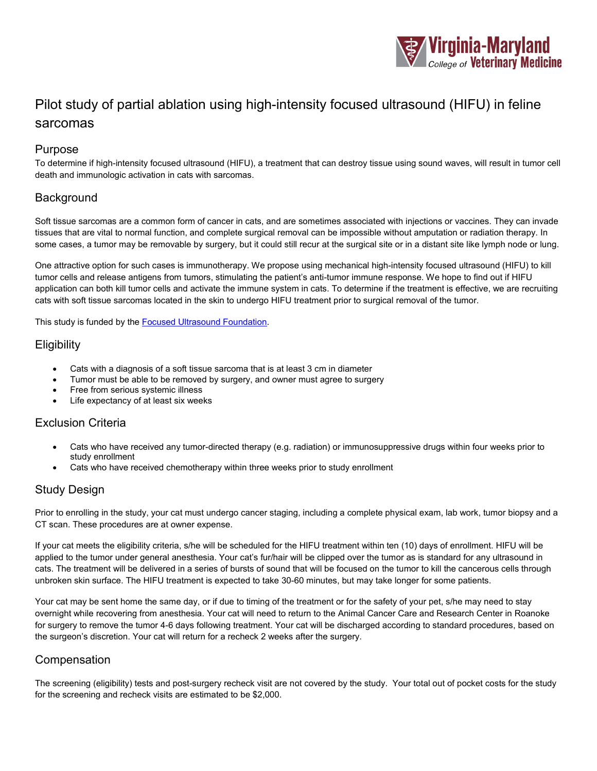

# Pilot study of partial ablation using high-intensity focused ultrasound (HIFU) in feline sarcomas

#### Purpose

To determine if high-intensity focused ultrasound (HIFU), a treatment that can destroy tissue using sound waves, will result in tumor cell death and immunologic activation in cats with sarcomas.

#### **Background**

Soft tissue sarcomas are a common form of cancer in cats, and are sometimes associated with injections or vaccines. They can invade tissues that are vital to normal function, and complete surgical removal can be impossible without amputation or radiation therapy. In some cases, a tumor may be removable by surgery, but it could still recur at the surgical site or in a distant site like lymph node or lung.

One attractive option for such cases is immunotherapy. We propose using mechanical high-intensity focused ultrasound (HIFU) to kill tumor cells and release antigens from tumors, stimulating the patient's anti-tumor immune response. We hope to find out if HIFU application can both kill tumor cells and activate the immune system in cats. To determine if the treatment is effective, we are recruiting cats with soft tissue sarcomas located in the skin to undergo HIFU treatment prior to surgical removal of the tumor.

This study is funded by th[e Focused Ultrasound Foundation.](https://www.fusfoundation.org/the-technology/research-sites/research-projects/a0J3j00001JMofNEAT)

### **Eligibility**

- Cats with a diagnosis of a soft tissue sarcoma that is at least 3 cm in diameter
- Tumor must be able to be removed by surgery, and owner must agree to surgery
- Free from serious systemic illness
- Life expectancy of at least six weeks

#### Exclusion Criteria

- Cats who have received any tumor-directed therapy (e.g. radiation) or immunosuppressive drugs within four weeks prior to study enrollment
- Cats who have received chemotherapy within three weeks prior to study enrollment

## Study Design

Prior to enrolling in the study, your cat must undergo cancer staging, including a complete physical exam, lab work, tumor biopsy and a CT scan. These procedures are at owner expense.

If your cat meets the eligibility criteria, s/he will be scheduled for the HIFU treatment within ten (10) days of enrollment. HIFU will be applied to the tumor under general anesthesia. Your cat's fur/hair will be clipped over the tumor as is standard for any ultrasound in cats. The treatment will be delivered in a series of bursts of sound that will be focused on the tumor to kill the cancerous cells through unbroken skin surface. The HIFU treatment is expected to take 30-60 minutes, but may take longer for some patients.

Your cat may be sent home the same day, or if due to timing of the treatment or for the safety of your pet, s/he may need to stay overnight while recovering from anesthesia. Your cat will need to return to the Animal Cancer Care and Research Center in Roanoke for surgery to remove the tumor 4-6 days following treatment. Your cat will be discharged according to standard procedures, based on the surgeon's discretion. Your cat will return for a recheck 2 weeks after the surgery.

#### Compensation

The screening (eligibility) tests and post-surgery recheck visit are not covered by the study. Your total out of pocket costs for the study for the screening and recheck visits are estimated to be \$2,000.